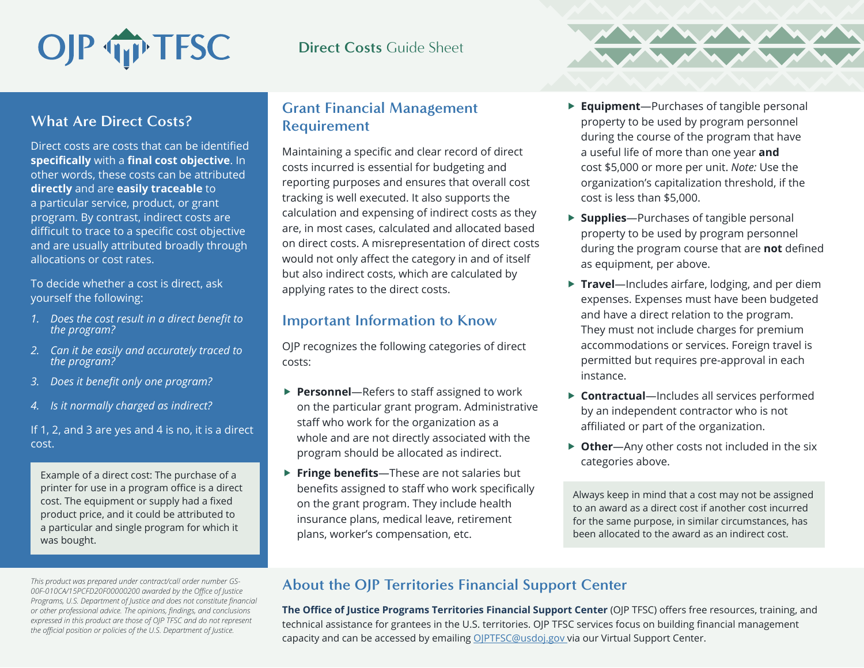# OJP TFSC

## **Direct Costs** Guide Sheet

## **What Are Direct Costs?**

Direct costs are costs that can be identified **specifically** with a **final cost objective**. In other words, these costs can be attributed **directly** and are **easily traceable** to a particular service, product, or grant program. By contrast, indirect costs are difficult to trace to a specific cost objective and are usually attributed broadly through allocations or cost rates.

To decide whether a cost is direct, ask yourself the following:

- *1. Does the cost result in a direct benefit to the program?*
- *2. Can it be easily and accurately traced to the program?*
- *3. Does it benefit only one program?*
- *4. Is it normally charged as indirect?*

If 1, 2, and 3 are yes and 4 is no, it is a direct cost.

Example of a direct cost: The purchase of a printer for use in a program office is a direct cost. The equipment or supply had a fixed product price, and it could be attributed to a particular and single program for which it was bought.

*This product was prepared under contract/call order number GS-00F-010CA/15PCFD20F00000200 awarded by the Office of Justice Programs, U.S. Department of Justice and does not constitute financial or other professional advice. The opinions, findings, and conclusions expressed in this product are those of OJP TFSC and do not represent the official position or policies of the U.S. Department of Justice.*

### **Grant Financial Management Requirement**

Maintaining a specific and clear record of direct costs incurred is essential for budgeting and reporting purposes and ensures that overall cost tracking is well executed. It also supports the calculation and expensing of indirect costs as they are, in most cases, calculated and allocated based on direct costs. A misrepresentation of direct costs would not only affect the category in and of itself but also indirect costs, which are calculated by applying rates to the direct costs.

### **Important Information to Know**

OJP recognizes the following categories of direct costs:

- ▶ **Personnel**—Refers to staff assigned to work on the particular grant program. Administrative staff who work for the organization as a whole and are not directly associated with the program should be allocated as indirect.
- ▶ Fringe benefits—These are not salaries but benefits assigned to staff who work specifically on the grant program. They include health insurance plans, medical leave, retirement plans, worker's compensation, etc.
- ▶ **Equipment**—Purchases of tangible personal property to be used by program personnel during the course of the program that have a useful life of more than one year **and** cost \$5,000 or more per unit. *Note:* Use the organization's capitalization threshold, if the cost is less than \$5,000.
- ▶ **Supplies**—Purchases of tangible personal property to be used by program personnel during the program course that are **not** defined as equipment, per above.
- ▶ Travel—Includes airfare, lodging, and per diem expenses. Expenses must have been budgeted and have a direct relation to the program. They must not include charges for premium accommodations or services. Foreign travel is permitted but requires pre-approval in each instance.
- ▶ **Contractual**—Includes all services performed by an independent contractor who is not affiliated or part of the organization.
- ▶ Other—Any other costs not included in the six categories above.

Always keep in mind that a cost may not be assigned to an award as a direct cost if another cost incurred for the same purpose, in similar circumstances, has been allocated to the award as an indirect cost.

# **About the OJP Territories Financial Support Center**

**The Office of Justice Programs Territories Financial Support Center** (OJP TFSC) offers free resources, training, and technical assistance for grantees in the U.S. territories. OJP TFSC services focus on building financial management capacity and can be accessed by emailing [OJPTFSC@usdoj.gov](mailto:OJPTFSC%40usdoj.gov?subject=) via our Virtual Support Center.